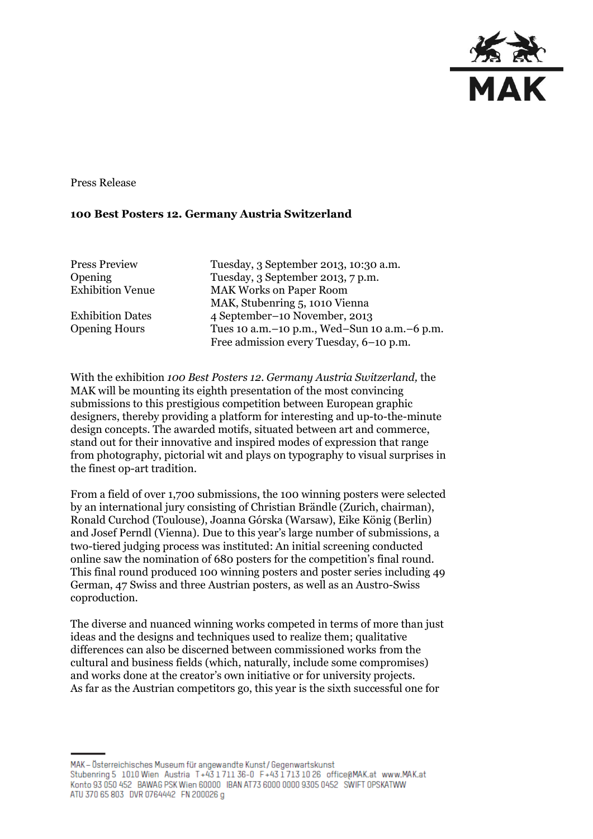

Press Release

## **100 Best Posters 12. Germany Austria Switzerland**

Press Preview Tuesday, 3 September 2013, 10:30 a.m. Opening Tuesday, 3 September 2013, 7 p.m. Exhibition Venue MAK Works on Paper Room MAK, Stubenring 5, 1010 Vienna Exhibition Dates 4 September–10 November, 2013 Opening Hours Tues 10 a.m.–10 p.m., Wed–Sun 10 a.m.–6 p.m. Free admission every Tuesday, 6–10 p.m.

With the exhibition *100 Best Posters 12. Germany Austria Switzerland,* the MAK will be mounting its eighth presentation of the most convincing submissions to this prestigious competition between European graphic designers, thereby providing a platform for interesting and up-to-the-minute design concepts. The awarded motifs, situated between art and commerce, stand out for their innovative and inspired modes of expression that range from photography, pictorial wit and plays on typography to visual surprises in the finest op-art tradition.

From a field of over 1,700 submissions, the 100 winning posters were selected by an international jury consisting of Christian Brändle (Zurich, chairman), Ronald Curchod (Toulouse), Joanna Górska (Warsaw), Eike König (Berlin) and Josef Perndl (Vienna). Due to this year's large number of submissions, a two-tiered judging process was instituted: An initial screening conducted online saw the nomination of 680 posters for the competition's final round. This final round produced 100 winning posters and poster series including 49 German, 47 Swiss and three Austrian posters, as well as an Austro-Swiss coproduction.

The diverse and nuanced winning works competed in terms of more than just ideas and the designs and techniques used to realize them; qualitative differences can also be discerned between commissioned works from the cultural and business fields (which, naturally, include some compromises) and works done at the creator's own initiative or for university projects. As far as the Austrian competitors go, this year is the sixth successful one for

MAK - Österreichisches Museum für angewandte Kunst/Gegenwartskunst Stubenring 5 1010 Wien Austria T+43 1711 36-0 F+43 1713 10 26 office@MAK.at www.MAK.at Konto 93 050 452 BAWAG PSK Wien 60000 BAN AT73 6000 0000 9305 0452 SWIFT OPSKATWW ATU 370 65 803 DVR 0764442 FN 200026 g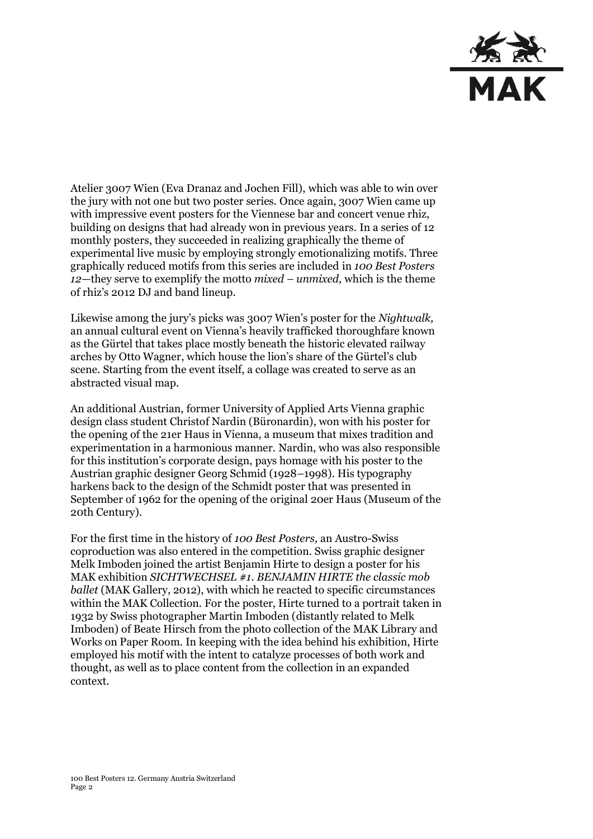

Atelier 3007 Wien (Eva Dranaz and Jochen Fill), which was able to win over the jury with not one but two poster series. Once again, 3007 Wien came up with impressive event posters for the Viennese bar and concert venue rhiz, building on designs that had already won in previous years. In a series of 12 monthly posters, they succeeded in realizing graphically the theme of experimental live music by employing strongly emotionalizing motifs. Three graphically reduced motifs from this series are included in *100 Best Posters 12*—they serve to exemplify the motto *mixed – unmixed,* which is the theme of rhiz's 2012 DJ and band lineup.

Likewise among the jury's picks was 3007 Wien's poster for the *Nightwalk,*  an annual cultural event on Vienna's heavily trafficked thoroughfare known as the Gürtel that takes place mostly beneath the historic elevated railway arches by Otto Wagner, which house the lion's share of the Gürtel's club scene. Starting from the event itself, a collage was created to serve as an abstracted visual map.

An additional Austrian, former University of Applied Arts Vienna graphic design class student Christof Nardin (Büronardin), won with his poster for the opening of the 21er Haus in Vienna, a museum that mixes tradition and experimentation in a harmonious manner. Nardin, who was also responsible for this institution's corporate design, pays homage with his poster to the Austrian graphic designer Georg Schmid (1928–1998). His typography harkens back to the design of the Schmidt poster that was presented in September of 1962 for the opening of the original 20er Haus (Museum of the 20th Century).

For the first time in the history of *100 Best Posters,* an Austro-Swiss coproduction was also entered in the competition. Swiss graphic designer Melk Imboden joined the artist Benjamin Hirte to design a poster for his MAK exhibition *SICHTWECHSEL #1. BENJAMIN HIRTE the classic mob ballet* (MAK Gallery, 2012), with which he reacted to specific circumstances within the MAK Collection. For the poster, Hirte turned to a portrait taken in 1932 by Swiss photographer Martin Imboden (distantly related to Melk Imboden) of Beate Hirsch from the photo collection of the MAK Library and Works on Paper Room. In keeping with the idea behind his exhibition, Hirte employed his motif with the intent to catalyze processes of both work and thought, as well as to place content from the collection in an expanded context.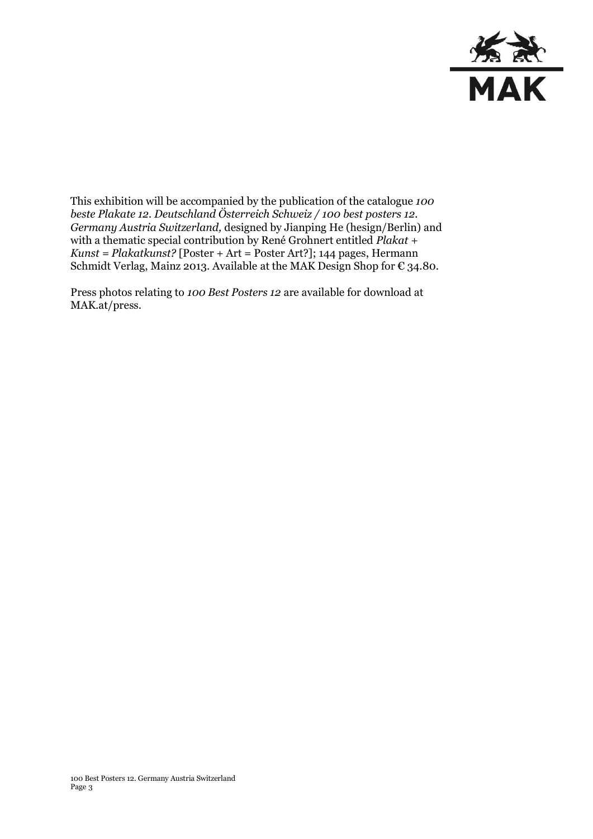

This exhibition will be accompanied by the publication of the catalogue *100 beste Plakate 12. Deutschland Österreich Schweiz / 100 best posters 12. Germany Austria Switzerland,* designed by Jianping He (hesign/Berlin) and with a thematic special contribution by René Grohnert entitled *Plakat + Kunst = Plakatkunst?* [Poster + Art = Poster Art?]; 144 pages, Hermann Schmidt Verlag, Mainz 2013. Available at the MAK Design Shop for € 34.80.

Press photos relating to *100 Best Posters 12* are available for download at MAK.at/press.